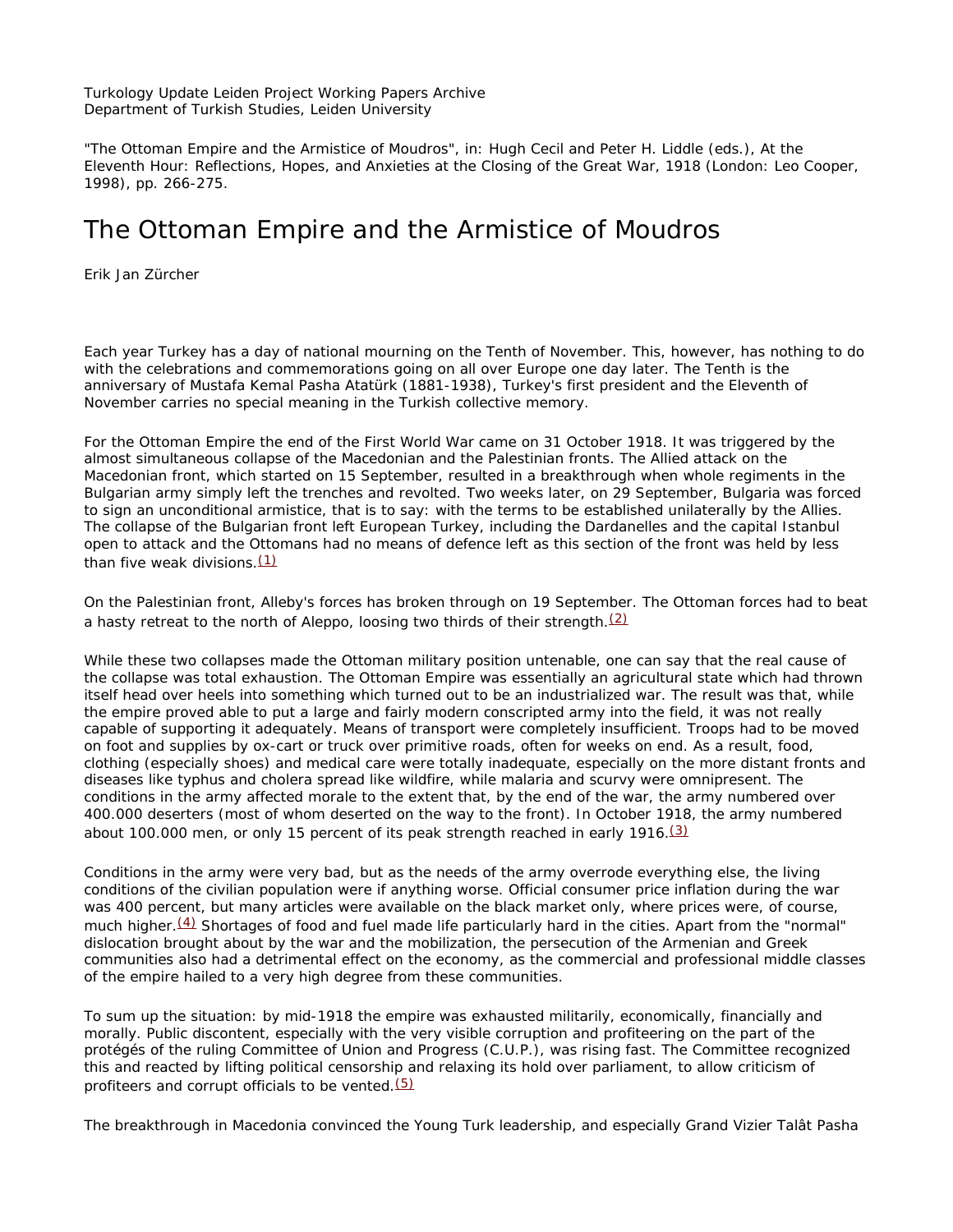Turkology Update Leiden Project Working Papers Archive Department of Turkish Studies, Leiden University

"The Ottoman Empire and the Armistice of Moudros", in: Hugh Cecil and Peter H. Liddle (eds.), *At the Eleventh Hour: Reflections, Hopes, and Anxieties at the Closing of the Great War, 1918* (London: Leo Cooper, 1998), pp. 266-275.

## The Ottoman Empire and the Armistice of Moudros

Erik Jan Zürcher

Each year Turkey has a day of national mourning on the Tenth of November. This, however, has nothing to do with the celebrations and commemorations going on all over Europe one day later. The Tenth is the anniversary of Mustafa Kemal Pasha Atatürk (1881-1938), Turkey's first president and the Eleventh of November carries no special meaning in the Turkish collective memory.

For the Ottoman Empire the end of the First World War came on 31 October 1918. It was triggered by the almost simultaneous collapse of the Macedonian and the Palestinian fronts. The Allied attack on the Macedonian front, which started on 15 September, resulted in a breakthrough when whole regiments in the Bulgarian army simply left the trenches and revolted. Two weeks later, on 29 September, Bulgaria was forced to sign an unconditional armistice, that is to say: with the terms to be established unilaterally by the Allies. The collapse of the Bulgarian front left European Turkey, including the Dardanelles and the capital Istanbul open to attack and the Ottomans had no means of defence left as this section of the front was held by less than five weak divisions. $(1)$ 

On the Palestinian front, Alleby's forces has broken through on 19 September. The Ottoman forces had to beat a hasty retreat to the north of Aleppo, loosing two thirds of their strength. $(2)$ 

While these two collapses made the Ottoman military position untenable, one can say that the real cause of the collapse was total exhaustion. The Ottoman Empire was essentially an agricultural state which had thrown itself head over heels into something which turned out to be an industrialized war. The result was that, while the empire proved able to put a large and fairly modern conscripted army into the field, it was not really capable of supporting it adequately. Means of transport were completely insufficient. Troops had to be moved on foot and supplies by ox-cart or truck over primitive roads, often for weeks on end. As a result, food, clothing (especially shoes) and medical care were totally inadequate, especially on the more distant fronts and diseases like typhus and cholera spread like wildfire, while malaria and scurvy were omnipresent. The conditions in the army affected morale to the extent that, by the end of the war, the army numbered over 400.000 deserters (most of whom deserted on the way to the front). In October 1918, the army numbered about 100.000 men, or only 15 percent of its peak strength reached in early 1916.(3)

Conditions in the army were very bad, but as the needs of the army overrode everything else, the living conditions of the civilian population were if anything worse. Official consumer price inflation during the war was 400 percent, but many articles were available on the black market only, where prices were, of course, much higher.<sup>(4)</sup> Shortages of food and fuel made life particularly hard in the cities. Apart from the "normal" dislocation brought about by the war and the mobilization, the persecution of the Armenian and Greek communities also had a detrimental effect on the economy, as the commercial and professional middle classes of the empire hailed to a very high degree from these communities.

To sum up the situation: by mid-1918 the empire was exhausted militarily, economically, financially and morally. Public discontent, especially with the very visible corruption and profiteering on the part of the protégés of the ruling Committee of Union and Progress (C.U.P.), was rising fast. The Committee recognized this and reacted by lifting political censorship and relaxing its hold over parliament, to allow criticism of profiteers and corrupt officials to be vented. $(5)$ 

The breakthrough in Macedonia convinced the Young Turk leadership, and especially Grand Vizier Talât Pasha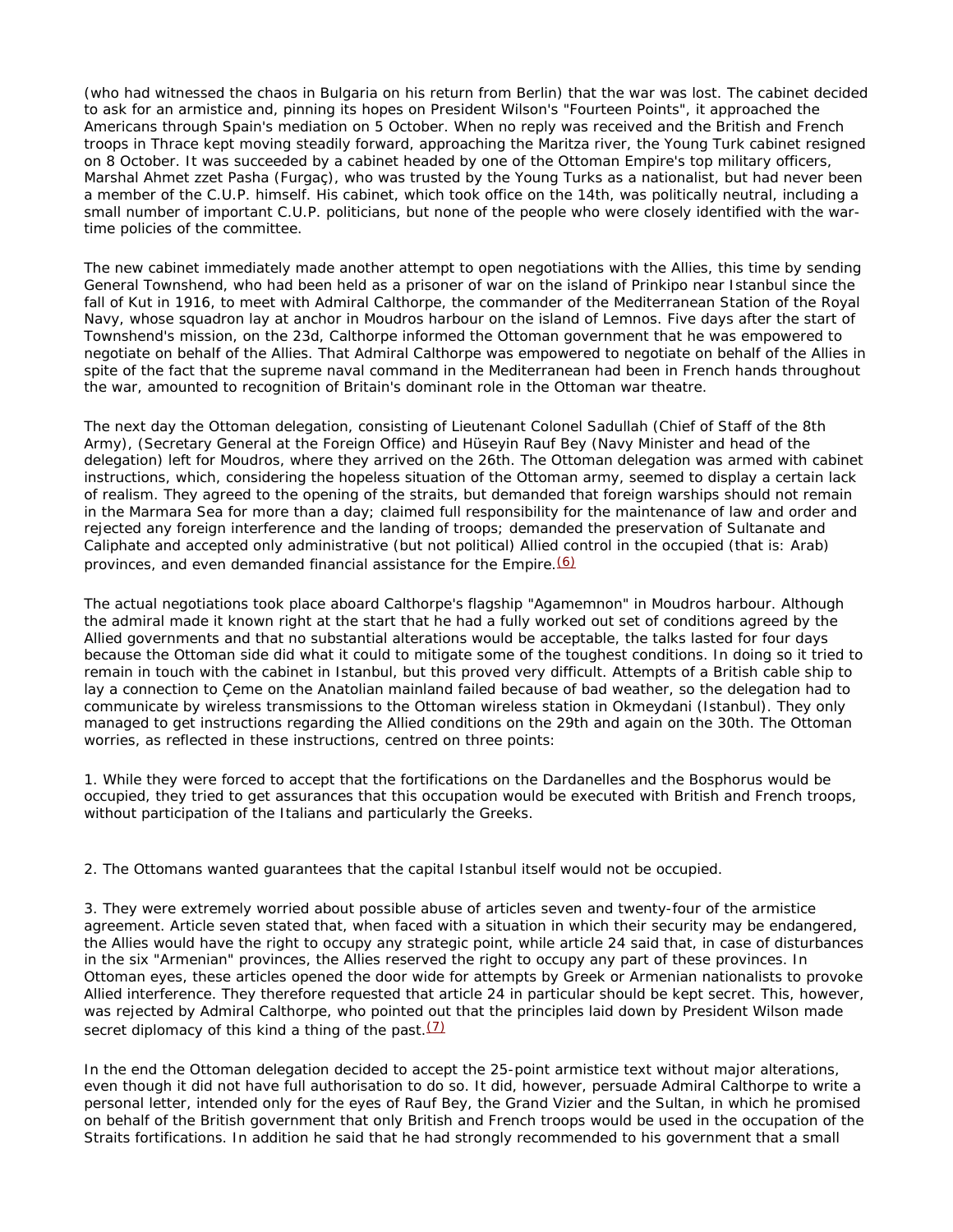(who had witnessed the chaos in Bulgaria on his return from Berlin) that the war was lost. The cabinet decided to ask for an armistice and, pinning its hopes on President Wilson's "Fourteen Points", it approached the Americans through Spain's mediation on 5 October. When no reply was received and the British and French troops in Thrace kept moving steadily forward, approaching the Maritza river, the Young Turk cabinet resigned on 8 October. It was succeeded by a cabinet headed by one of the Ottoman Empire's top military officers, Marshal Ahmet zzet Pasha (Furgaç), who was trusted by the Young Turks as a nationalist, but had never been a member of the C.U.P. himself. His cabinet, which took office on the 14th, was politically neutral, including a small number of important C.U.P. politicians, but none of the people who were closely identified with the wartime policies of the committee.

The new cabinet immediately made another attempt to open negotiations with the Allies, this time by sending General Townshend, who had been held as a prisoner of war on the island of Prinkipo near Istanbul since the fall of Kut in 1916, to meet with Admiral Calthorpe, the commander of the Mediterranean Station of the Royal Navy, whose squadron lay at anchor in Moudros harbour on the island of Lemnos. Five days after the start of Townshend's mission, on the 23d, Calthorpe informed the Ottoman government that he was empowered to negotiate on behalf of the Allies. That Admiral Calthorpe was empowered to negotiate on behalf of the Allies in spite of the fact that the supreme naval command in the Mediterranean had been in French hands throughout the war, amounted to recognition of Britain's dominant role in the Ottoman war theatre.

The next day the Ottoman delegation, consisting of Lieutenant Colonel Sadullah (Chief of Staff of the 8th Army), (Secretary General at the Foreign Office) and Hüseyin Rauf Bey (Navy Minister and head of the delegation) left for Moudros, where they arrived on the 26th. The Ottoman delegation was armed with cabinet instructions, which, considering the hopeless situation of the Ottoman army, seemed to display a certain lack of realism. They agreed to the opening of the straits, but demanded that foreign warships should not remain in the Marmara Sea for more than a day; claimed full responsibility for the maintenance of law and order and rejected any foreign interference and the landing of troops; demanded the preservation of Sultanate and Caliphate and accepted only administrative (but not political) Allied control in the occupied (that is: Arab) provinces, and even demanded financial assistance for the Empire.  $(6)$ 

The actual negotiations took place aboard Calthorpe's flagship "Agamemnon" in Moudros harbour. Although the admiral made it known right at the start that he had a fully worked out set of conditions agreed by the Allied governments and that no substantial alterations would be acceptable, the talks lasted for four days because the Ottoman side did what it could to mitigate some of the toughest conditions. In doing so it tried to remain in touch with the cabinet in Istanbul, but this proved very difficult. Attempts of a British cable ship to lay a connection to Çeme on the Anatolian mainland failed because of bad weather, so the delegation had to communicate by wireless transmissions to the Ottoman wireless station in Okmeydani (Istanbul). They only managed to get instructions regarding the Allied conditions on the 29th and again on the 30th. The Ottoman worries, as reflected in these instructions, centred on three points:

1. While they were forced to accept that the fortifications on the Dardanelles and the Bosphorus would be occupied, they tried to get assurances that this occupation would be executed with British and French troops, without participation of the Italians and particularly the Greeks.

2. The Ottomans wanted guarantees that the capital Istanbul itself would not be occupied.

3. They were extremely worried about possible abuse of articles seven and twenty-four of the armistice agreement. Article seven stated that, when faced with a situation in which their security may be endangered, the Allies would have the right to occupy any strategic point, while article 24 said that, in case of disturbances in the six "Armenian" provinces, the Allies reserved the right to occupy any part of these provinces. In Ottoman eyes, these articles opened the door wide for attempts by Greek or Armenian nationalists to provoke Allied interference. They therefore requested that article 24 in particular should be kept secret. This, however, was rejected by Admiral Calthorpe, who pointed out that the principles laid down by President Wilson made secret diplomacy of this kind a thing of the past. $(7)$ 

In the end the Ottoman delegation decided to accept the 25-point armistice text without major alterations, even though it did not have full authorisation to do so. It did, however, persuade Admiral Calthorpe to write a personal letter, intended only for the eyes of Rauf Bey, the Grand Vizier and the Sultan, in which he promised on behalf of the British government that only British and French troops would be used in the occupation of the Straits fortifications. In addition he said that he had strongly recommended to his government that a small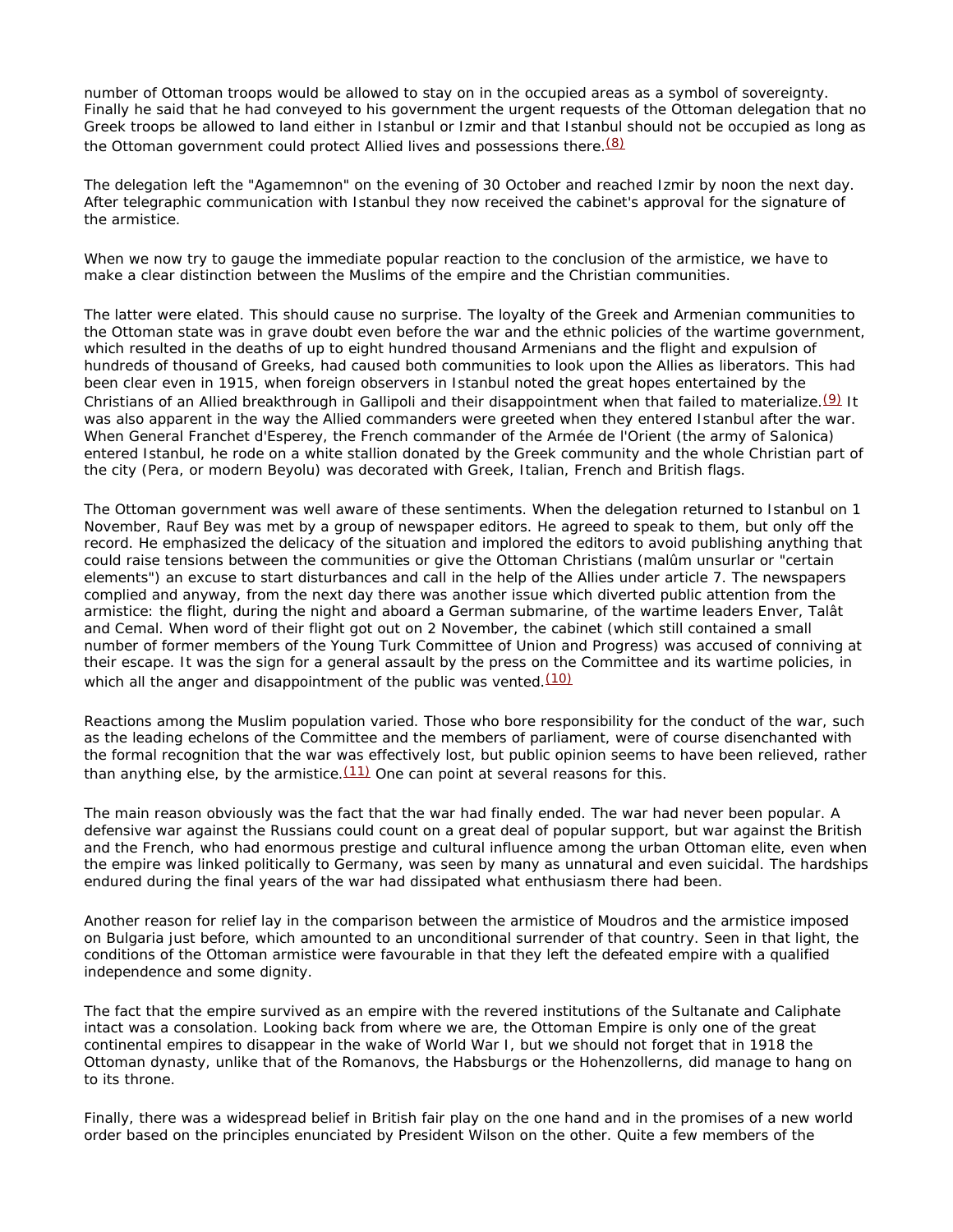number of Ottoman troops would be allowed to stay on in the occupied areas as a symbol of sovereignty. Finally he said that he had conveyed to his government the urgent requests of the Ottoman delegation that no Greek troops be allowed to land either in Istanbul or Izmir and that Istanbul should not be occupied as long as the Ottoman government could protect Allied lives and possessions there.<sup>(8)</sup>

The delegation left the "Agamemnon" on the evening of 30 October and reached Izmir by noon the next day. After telegraphic communication with Istanbul they now received the cabinet's approval for the signature of the armistice.

When we now try to gauge the immediate popular reaction to the conclusion of the armistice, we have to make a clear distinction between the Muslims of the empire and the Christian communities.

The latter were elated. This should cause no surprise. The loyalty of the Greek and Armenian communities to the Ottoman state was in grave doubt even before the war and the ethnic policies of the wartime government, which resulted in the deaths of up to eight hundred thousand Armenians and the flight and expulsion of hundreds of thousand of Greeks, had caused both communities to look upon the Allies as liberators. This had been clear even in 1915, when foreign observers in Istanbul noted the great hopes entertained by the Christians of an Allied breakthrough in Gallipoli and their disappointment when that failed to materialize.(9) It was also apparent in the way the Allied commanders were greeted when they entered Istanbul after the war. When General Franchet d'Esperey, the French commander of the Armée de l'Orient (the army of Salonica) entered Istanbul, he rode on a white stallion donated by the Greek community and the whole Christian part of the city (Pera, or modern Beyolu) was decorated with Greek, Italian, French and British flags.

The Ottoman government was well aware of these sentiments. When the delegation returned to Istanbul on 1 November, Rauf Bey was met by a group of newspaper editors. He agreed to speak to them, but only off the record. He emphasized the delicacy of the situation and implored the editors to avoid publishing anything that could raise tensions between the communities or give the Ottoman Christians (*malûm unsurlar* or "certain elements") an excuse to start disturbances and call in the help of the Allies under article 7. The newspapers complied and anyway, from the next day there was another issue which diverted public attention from the armistice: the flight, during the night and aboard a German submarine, of the wartime leaders Enver, Talât and Cemal. When word of their flight got out on 2 November, the cabinet (which still contained a small number of former members of the Young Turk Committee of Union and Progress) was accused of conniving at their escape. It was the sign for a general assault by the press on the Committee and its wartime policies, in which all the anger and disappointment of the public was vented.  $(10)$ 

Reactions among the Muslim population varied. Those who bore responsibility for the conduct of the war, such as the leading echelons of the Committee and the members of parliament, were of course disenchanted with the formal recognition that the war was effectively lost, but public opinion seems to have been relieved, rather than anything else, by the armistice. $(11)$  One can point at several reasons for this.

The main reason obviously was the fact that the war had finally ended. The war had never been popular. A defensive war against the Russians could count on a great deal of popular support, but war against the British and the French, who had enormous prestige and cultural influence among the urban Ottoman elite, even when the empire was linked politically to Germany, was seen by many as unnatural and even suicidal. The hardships endured during the final years of the war had dissipated what enthusiasm there had been.

Another reason for relief lay in the comparison between the armistice of Moudros and the armistice imposed on Bulgaria just before, which amounted to an unconditional surrender of that country. Seen in that light, the conditions of the Ottoman armistice were favourable in that they left the defeated empire with a qualified independence and some dignity.

The fact that the empire survived *as an empire* with the revered institutions of the Sultanate and Caliphate intact was a consolation. Looking back from where we are, the Ottoman Empire is only one of the great continental empires to disappear in the wake of World War I, but we should not forget that in 1918 the Ottoman dynasty, unlike that of the Romanovs, the Habsburgs or the Hohenzollerns, did manage to hang on to its throne.

Finally, there was a widespread belief in British fair play on the one hand and in the promises of a new world order based on the principles enunciated by President Wilson on the other. Quite a few members of the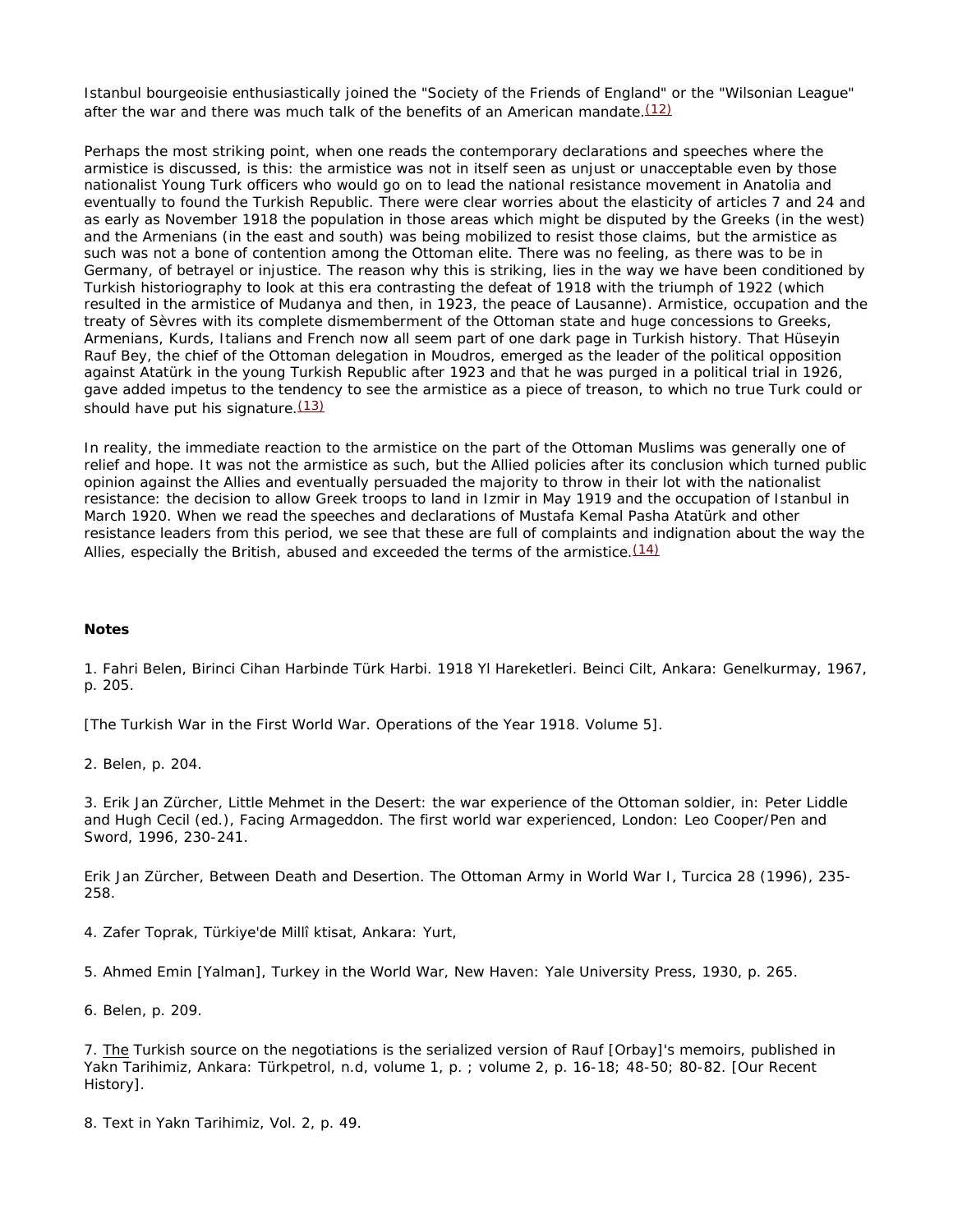Istanbul bourgeoisie enthusiastically joined the "Society of the Friends of England" or the "Wilsonian League" after the war and there was much talk of the benefits of an American mandate. $(12)$ 

Perhaps the most striking point, when one reads the contemporary declarations and speeches where the armistice is discussed, is this: the armistice was not in itself seen as unjust or unacceptable even by those nationalist Young Turk officers who would go on to lead the national resistance movement in Anatolia and eventually to found the Turkish Republic. There were clear worries about the elasticity of articles 7 and 24 and as early as November 1918 the population in those areas which might be disputed by the Greeks (in the west) and the Armenians (in the east and south) was being mobilized to resist those claims, but the armistice as such was not a bone of contention among the Ottoman elite. There was no feeling, as there was to be in Germany, of betrayel or injustice. The reason why this is striking, lies in the way we have been conditioned by Turkish historiography to look at this era contrasting the defeat of 1918 with the triumph of 1922 (which resulted in the armistice of Mudanya and then, in 1923, the peace of Lausanne). Armistice, occupation and the treaty of Sèvres with its complete dismemberment of the Ottoman state and huge concessions to Greeks, Armenians, Kurds, Italians and French now all seem part of one dark page in Turkish history. That Hüseyin Rauf Bey, the chief of the Ottoman delegation in Moudros, emerged as the leader of the political opposition against Atatürk in the young Turkish Republic after 1923 and that he was purged in a political trial in 1926, gave added impetus to the tendency to see the armistice as a piece of treason, to which no true Turk could or should have put his signature. $(13)$ 

In reality, the immediate reaction to the armistice on the part of the Ottoman Muslims was generally one of relief and hope. It was not the armistice as such, but the Allied policies after its conclusion which turned public opinion against the Allies and eventually persuaded the majority to throw in their lot with the nationalist resistance: the decision to allow Greek troops to land in Izmir in May 1919 and the occupation of Istanbul in March 1920. When we read the speeches and declarations of Mustafa Kemal Pasha Atatürk and other resistance leaders from this period, we see that these are full of complaints and indignation about the way the Allies, especially the British, abused and exceeded the terms of the armistice. $(14)$ 

## **Notes**

1. Fahri Belen, *Birinci Cihan Harbinde Türk Harbi. 1918 Yl Hareketleri. Beinci Cilt*, Ankara: Genelkurmay, 1967, p. 205.

[The Turkish War in the First World War. Operations of the Year 1918. Volume 5].

2. Belen, p. 204.

3. Erik Jan Zürcher, Little Mehmet in the Desert: the war experience of the Ottoman soldier, in: Peter Liddle and Hugh Cecil (ed.), *Facing Armageddon. The first world war experienced*, London: Leo Cooper/Pen and Sword, 1996, 230-241.

Erik Jan Zürcher, Between Death and Desertion. The Ottoman Army in World War I, *Turcica* 28 (1996), 235- 258.

4. Zafer Toprak, *Türkiye'de Millî ktisat*, Ankara: Yurt,

5. Ahmed Emin [Yalman], *Turkey in the World War*, New Haven: Yale University Press, 1930, p. 265.

6. Belen, p. 209.

7. The Turkish source on the negotiations is the serialized version of Rauf [Orbay]'s memoirs, published in *Yakn Tarihimiz*, Ankara: Türkpetrol, n.d, volume 1, p. ; volume 2, p. 16-18; 48-50; 80-82. [Our Recent History].

8. Text in *Yakn Tarihimiz*, Vol. 2, p. 49.